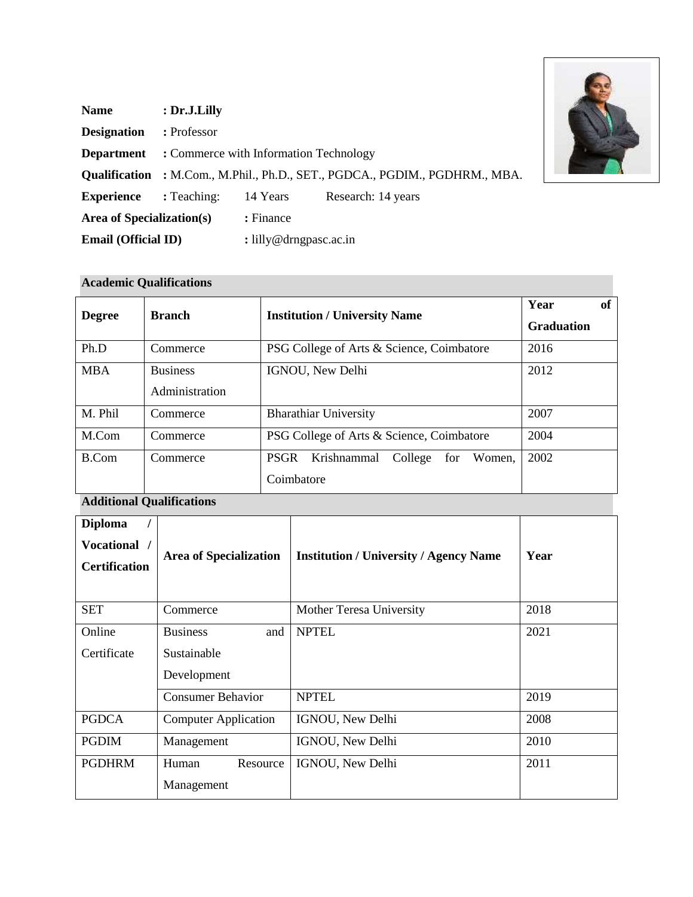| <b>Name</b>                      | : Dr.J.Lilly                           |                                 |                                                                                    |
|----------------------------------|----------------------------------------|---------------------------------|------------------------------------------------------------------------------------|
| <b>Designation</b>               | : Professor                            |                                 |                                                                                    |
| <b>Department</b>                | : Commerce with Information Technology |                                 |                                                                                    |
|                                  |                                        |                                 | <b>Qualification</b> : M.Com., M.Phil., Ph.D., SET., PGDCA., PGDIM., PGDHRM., MBA. |
| <b>Experience</b>                | : Teaching:                            | 14 Years                        | Research: 14 years                                                                 |
| <b>Area of Specialization(s)</b> |                                        | : Finance                       |                                                                                    |
| <b>Email (Official ID)</b>       |                                        | : $\text{lilly@drngpasc.ac.in}$ |                                                                                    |

# **Academic Qualifications**

| <b>Degree</b> | <b>Branch</b>                     | <b>Institution / University Name</b>                                 | Year<br>of<br><b>Graduation</b> |
|---------------|-----------------------------------|----------------------------------------------------------------------|---------------------------------|
| Ph.D          | Commerce                          | PSG College of Arts & Science, Coimbatore                            | 2016                            |
| <b>MBA</b>    | <b>Business</b><br>Administration | IGNOU, New Delhi                                                     | 2012                            |
| M. Phil       | Commerce                          | <b>Bharathiar University</b>                                         | 2007                            |
| M.Com         | Commerce                          | PSG College of Arts & Science, Coimbatore                            | 2004                            |
| B.Com         | Commerce                          | <b>PSGR</b><br>Krishnammal<br>College<br>Women,<br>for<br>Coimbatore | 2002                            |

# **Additional Qualifications**

| <b>Diploma</b><br>Vocational /<br><b>Certification</b> | <b>Area of Specialization</b> | <b>Institution / University / Agency Name</b> | Year |
|--------------------------------------------------------|-------------------------------|-----------------------------------------------|------|
| <b>SET</b>                                             | Commerce                      | Mother Teresa University                      | 2018 |
| Online                                                 | <b>Business</b><br>and        | <b>NPTEL</b>                                  | 2021 |
| Certificate                                            | Sustainable                   |                                               |      |
|                                                        | Development                   |                                               |      |
|                                                        | <b>Consumer Behavior</b>      | <b>NPTEL</b>                                  | 2019 |
| <b>PGDCA</b>                                           | <b>Computer Application</b>   | IGNOU, New Delhi                              | 2008 |
| <b>PGDIM</b>                                           | Management                    | IGNOU, New Delhi                              | 2010 |
| <b>PGDHRM</b>                                          | Human<br>Resource             | IGNOU, New Delhi                              | 2011 |
|                                                        | Management                    |                                               |      |

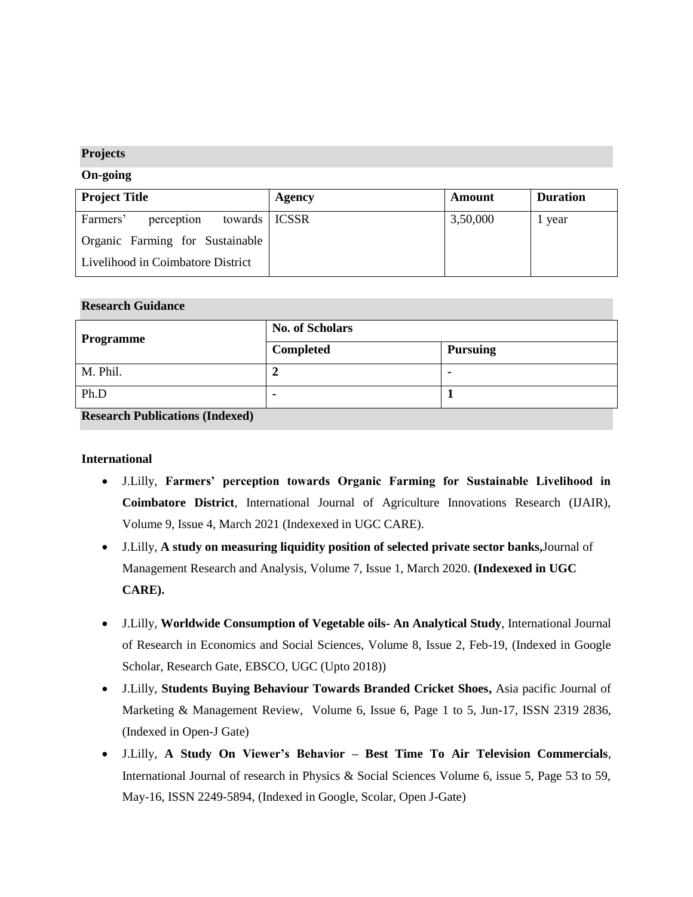## **Projects**

#### **On-going**

| <b>Project Title</b>                      | Agency | Amount   | <b>Duration</b> |
|-------------------------------------------|--------|----------|-----------------|
| Farmers'<br>towards   ICSSR<br>perception |        | 3,50,000 | 1 year          |
| Organic Farming for Sustainable           |        |          |                 |
| Livelihood in Coimbatore District         |        |          |                 |

#### **Research Guidance**

| Programme | <b>No. of Scholars</b> |                 |  |
|-----------|------------------------|-----------------|--|
|           | Completed              | <b>Pursuing</b> |  |
| M. Phil.  |                        | $\blacksquare$  |  |
| Ph.D      |                        |                 |  |

**Research Publications (Indexed)**

## **International**

- J.Lilly, **Farmers' perception towards Organic Farming for Sustainable Livelihood in Coimbatore District**, International Journal of Agriculture Innovations Research (IJAIR), Volume 9, Issue 4, March 2021 (Indexexed in UGC CARE).
- J.Lilly, **A study on measuring liquidity position of selected private sector banks,**Journal of Management Research and Analysis, Volume 7, Issue 1, March 2020. **(Indexexed in UGC CARE).**
- J.Lilly, **Worldwide Consumption of Vegetable oils- An Analytical Study**, International Journal of Research in Economics and Social Sciences, Volume 8, Issue 2, Feb-19, (Indexed in Google Scholar, Research Gate, EBSCO, UGC (Upto 2018))
- J.Lilly, **Students Buying Behaviour Towards Branded Cricket Shoes,** Asia pacific Journal of Marketing & Management Review, Volume 6, Issue 6, Page 1 to 5, Jun-17, ISSN 2319 2836, (Indexed in Open-J Gate)
- J.Lilly, **A Study On Viewer's Behavior – Best Time To Air Television Commercials**, International Journal of research in Physics & Social Sciences Volume 6, issue 5, Page 53 to 59, May-16, ISSN 2249-5894, (Indexed in Google, Scolar, Open J-Gate)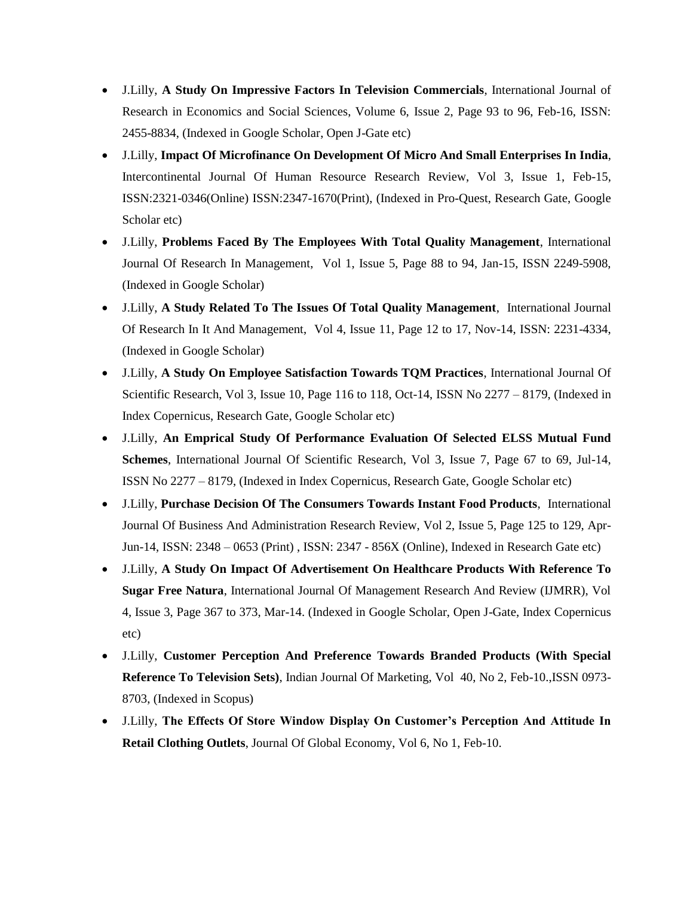- J.Lilly, **A Study On Impressive Factors In Television Commercials**, International Journal of Research in Economics and Social Sciences, Volume 6, Issue 2, Page 93 to 96, Feb-16, ISSN: 2455-8834, (Indexed in Google Scholar, Open J-Gate etc)
- J.Lilly, **Impact Of Microfinance On Development Of Micro And Small Enterprises In India**, Intercontinental Journal Of Human Resource Research Review, Vol 3, Issue 1, Feb-15, ISSN:2321-0346(Online) ISSN:2347-1670(Print), (Indexed in Pro-Quest, Research Gate, Google Scholar etc)
- J.Lilly, **Problems Faced By The Employees With Total Quality Management**, International Journal Of Research In Management, Vol 1, Issue 5, Page 88 to 94, Jan-15, ISSN 2249-5908, (Indexed in Google Scholar)
- J.Lilly, **A Study Related To The Issues Of Total Quality Management**, International Journal Of Research In It And Management, Vol 4, Issue 11, Page 12 to 17, Nov-14, ISSN: 2231-4334, (Indexed in Google Scholar)
- J.Lilly, **A Study On Employee Satisfaction Towards TQM Practices**, International Journal Of Scientific Research, Vol 3, Issue 10, Page 116 to 118, Oct-14, ISSN No 2277 – 8179, (Indexed in Index Copernicus, Research Gate, Google Scholar etc)
- J.Lilly, **An Emprical Study Of Performance Evaluation Of Selected ELSS Mutual Fund Schemes**, International Journal Of Scientific Research, Vol 3, Issue 7, Page 67 to 69, Jul-14, ISSN No 2277 – 8179, (Indexed in Index Copernicus, Research Gate, Google Scholar etc)
- J.Lilly, **Purchase Decision Of The Consumers Towards Instant Food Products**, International Journal Of Business And Administration Research Review, Vol 2, Issue 5, Page 125 to 129, Apr-Jun-14, ISSN: 2348 – 0653 (Print) , ISSN: 2347 - 856X (Online), Indexed in Research Gate etc)
- J.Lilly, **A Study On Impact Of Advertisement On Healthcare Products With Reference To Sugar Free Natura**, International Journal Of Management Research And Review (IJMRR), Vol 4, Issue 3, Page 367 to 373, Mar-14. (Indexed in Google Scholar, Open J-Gate, Index Copernicus etc)
- J.Lilly, **Customer Perception And Preference Towards Branded Products (With Special Reference To Television Sets)**, Indian Journal Of Marketing, Vol 40, No 2, Feb-10.,ISSN 0973- 8703, (Indexed in Scopus)
- J.Lilly, **The Effects Of Store Window Display On Customer's Perception And Attitude In Retail Clothing Outlets**, Journal Of Global Economy, Vol 6, No 1, Feb-10.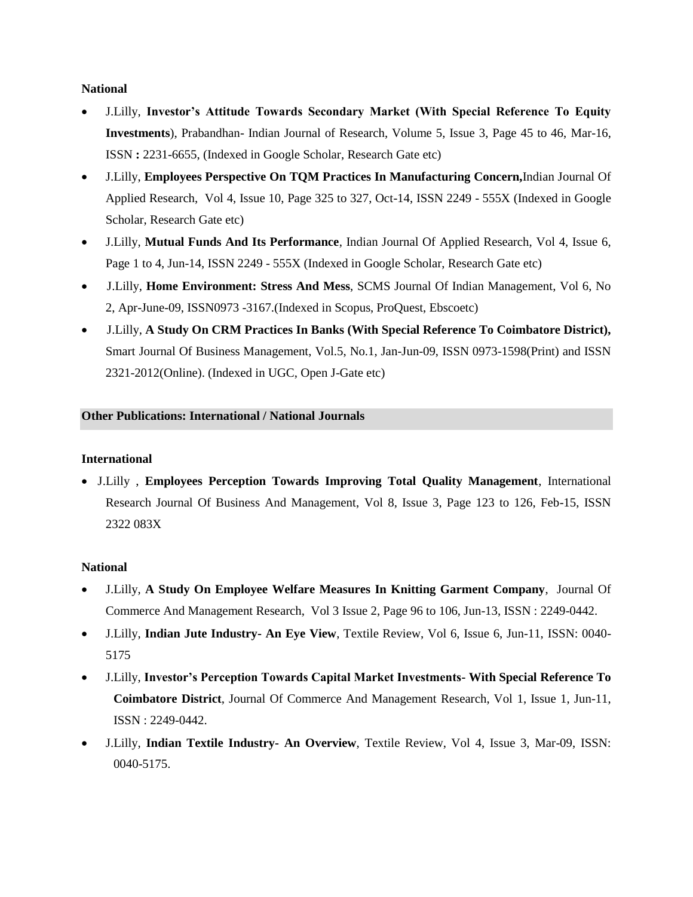#### **National**

- J.Lilly, **Investor's Attitude Towards Secondary Market (With Special Reference To Equity Investments**), Prabandhan- Indian Journal of Research, Volume 5, Issue 3, Page 45 to 46, Mar-16, ISSN **:** 2231-6655, (Indexed in Google Scholar, Research Gate etc)
- J.Lilly, **Employees Perspective On TQM Practices In Manufacturing Concern,**Indian Journal Of Applied Research, Vol 4, Issue 10, Page 325 to 327, Oct-14, ISSN 2249 - 555X (Indexed in Google Scholar, Research Gate etc)
- J.Lilly, **Mutual Funds And Its Performance**, Indian Journal Of Applied Research, Vol 4, Issue 6, Page 1 to 4, Jun-14, ISSN 2249 - 555X (Indexed in Google Scholar, Research Gate etc)
- J.Lilly, **Home Environment: Stress And Mess**, SCMS Journal Of Indian Management, Vol 6, No 2, Apr-June-09, ISSN0973 -3167.(Indexed in Scopus, ProQuest, Ebscoetc)
- J.Lilly, **A Study On CRM Practices In Banks (With Special Reference To Coimbatore District),** Smart Journal Of Business Management, Vol.5, No.1, Jan-Jun-09, ISSN 0973-1598(Print) and ISSN 2321-2012(Online). (Indexed in UGC, Open J-Gate etc)

## **Other Publications: International / National Journals**

## **International**

• J.Lilly , **Employees Perception Towards Improving Total Quality Management**, International Research Journal Of Business And Management, Vol 8, Issue 3, Page 123 to 126, Feb-15, ISSN 2322 083X

## **National**

- J.Lilly, **A Study On Employee Welfare Measures In Knitting Garment Company**, Journal Of Commerce And Management Research, Vol 3 Issue 2, Page 96 to 106, Jun-13, ISSN : 2249-0442.
- J.Lilly, **Indian Jute Industry- An Eye View**, Textile Review, Vol 6, Issue 6, Jun-11, ISSN: 0040- 5175
- J.Lilly, **Investor's Perception Towards Capital Market Investments- With Special Reference To Coimbatore District**, Journal Of Commerce And Management Research, Vol 1, Issue 1, Jun-11, ISSN : 2249-0442.
- J.Lilly, **Indian Textile Industry- An Overview**, Textile Review, Vol 4, Issue 3, Mar-09, ISSN: 0040-5175.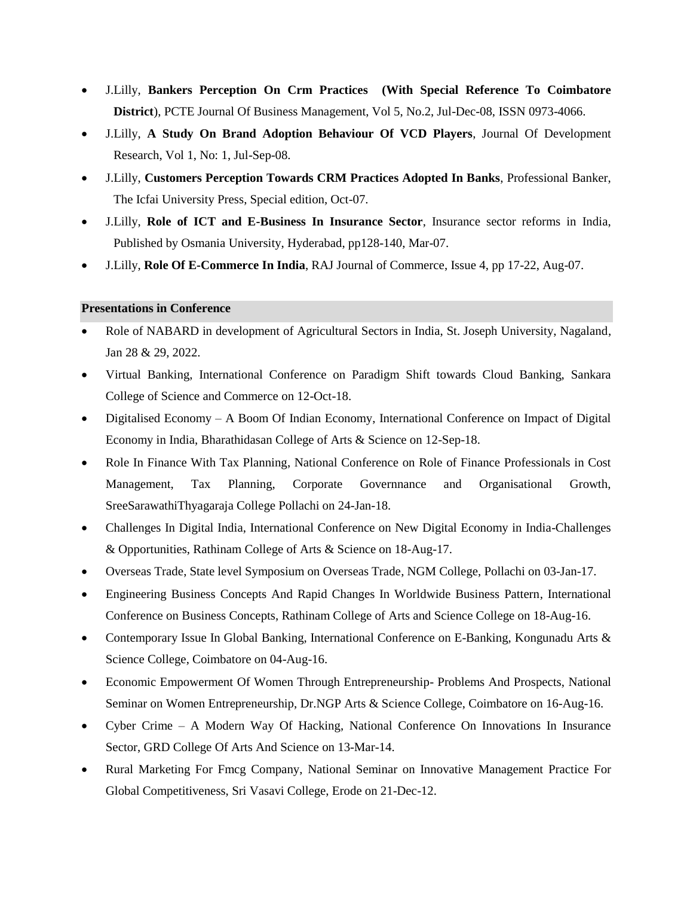- J.Lilly, **Bankers Perception On Crm Practices (With Special Reference To Coimbatore District**), PCTE Journal Of Business Management, Vol 5, No.2, Jul-Dec-08, ISSN 0973-4066.
- J.Lilly, **A Study On Brand Adoption Behaviour Of VCD Players**, Journal Of Development Research, Vol 1, No: 1, Jul-Sep-08.
- J.Lilly, **Customers Perception Towards CRM Practices Adopted In Banks**, Professional Banker, The Icfai University Press, Special edition, Oct-07.
- J.Lilly, **Role of ICT and E-Business In Insurance Sector**, Insurance sector reforms in India, Published by Osmania University, Hyderabad, pp128-140, Mar-07.
- J.Lilly, **Role Of E-Commerce In India**, RAJ Journal of Commerce, Issue 4, pp 17-22, Aug-07.

## **Presentations in Conference**

- Role of NABARD in development of Agricultural Sectors in India, St. Joseph University, Nagaland, Jan 28 & 29, 2022.
- Virtual Banking, International Conference on Paradigm Shift towards Cloud Banking, Sankara College of Science and Commerce on 12-Oct-18.
- Digitalised Economy A Boom Of Indian Economy, International Conference on Impact of Digital Economy in India, Bharathidasan College of Arts & Science on 12-Sep-18.
- Role In Finance With Tax Planning, National Conference on Role of Finance Professionals in Cost Management, Tax Planning, Corporate Governnance and Organisational Growth, SreeSarawathiThyagaraja College Pollachi on 24-Jan-18.
- Challenges In Digital India, International Conference on New Digital Economy in India-Challenges & Opportunities, Rathinam College of Arts & Science on 18-Aug-17.
- Overseas Trade, State level Symposium on Overseas Trade, NGM College, Pollachi on 03-Jan-17.
- Engineering Business Concepts And Rapid Changes In Worldwide Business Pattern, International Conference on Business Concepts, Rathinam College of Arts and Science College on 18-Aug-16.
- Contemporary Issue In Global Banking, International Conference on E-Banking, Kongunadu Arts & Science College, Coimbatore on 04-Aug-16.
- Economic Empowerment Of Women Through Entrepreneurship- Problems And Prospects, National Seminar on Women Entrepreneurship, Dr.NGP Arts & Science College, Coimbatore on 16-Aug-16.
- Cyber Crime A Modern Way Of Hacking, National Conference On Innovations In Insurance Sector, GRD College Of Arts And Science on 13-Mar-14.
- Rural Marketing For Fmcg Company, National Seminar on Innovative Management Practice For Global Competitiveness, Sri Vasavi College, Erode on 21-Dec-12.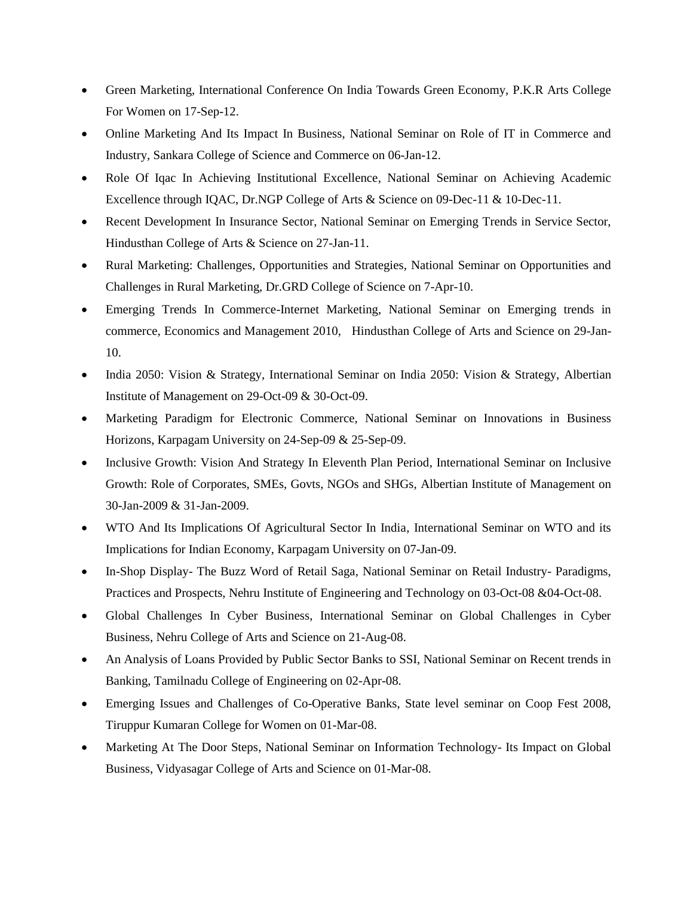- Green Marketing, International Conference On India Towards Green Economy, P.K.R Arts College For Women on 17-Sep-12.
- Online Marketing And Its Impact In Business, National Seminar on Role of IT in Commerce and Industry, Sankara College of Science and Commerce on 06-Jan-12.
- Role Of Iqac In Achieving Institutional Excellence, National Seminar on Achieving Academic Excellence through IQAC, Dr.NGP College of Arts & Science on 09-Dec-11 & 10-Dec-11.
- Recent Development In Insurance Sector, National Seminar on Emerging Trends in Service Sector, Hindusthan College of Arts & Science on 27-Jan-11.
- Rural Marketing: Challenges, Opportunities and Strategies, National Seminar on Opportunities and Challenges in Rural Marketing, Dr.GRD College of Science on 7-Apr-10.
- Emerging Trends In Commerce-Internet Marketing, National Seminar on Emerging trends in commerce, Economics and Management 2010, Hindusthan College of Arts and Science on 29-Jan-10.
- India 2050: Vision & Strategy, International Seminar on India 2050: Vision & Strategy, Albertian Institute of Management on 29-Oct-09 & 30-Oct-09.
- Marketing Paradigm for Electronic Commerce, National Seminar on Innovations in Business Horizons, Karpagam University on 24-Sep-09 & 25-Sep-09.
- Inclusive Growth: Vision And Strategy In Eleventh Plan Period, International Seminar on Inclusive Growth: Role of Corporates, SMEs, Govts, NGOs and SHGs, Albertian Institute of Management on 30-Jan-2009 & 31-Jan-2009.
- WTO And Its Implications Of Agricultural Sector In India, International Seminar on WTO and its Implications for Indian Economy, Karpagam University on 07-Jan-09.
- In-Shop Display- The Buzz Word of Retail Saga, National Seminar on Retail Industry- Paradigms, Practices and Prospects, Nehru Institute of Engineering and Technology on 03-Oct-08 &04-Oct-08.
- Global Challenges In Cyber Business, International Seminar on Global Challenges in Cyber Business, Nehru College of Arts and Science on 21-Aug-08.
- An Analysis of Loans Provided by Public Sector Banks to SSI, National Seminar on Recent trends in Banking, Tamilnadu College of Engineering on 02-Apr-08.
- Emerging Issues and Challenges of Co-Operative Banks, State level seminar on Coop Fest 2008, Tiruppur Kumaran College for Women on 01-Mar-08.
- Marketing At The Door Steps, National Seminar on Information Technology- Its Impact on Global Business, Vidyasagar College of Arts and Science on 01-Mar-08.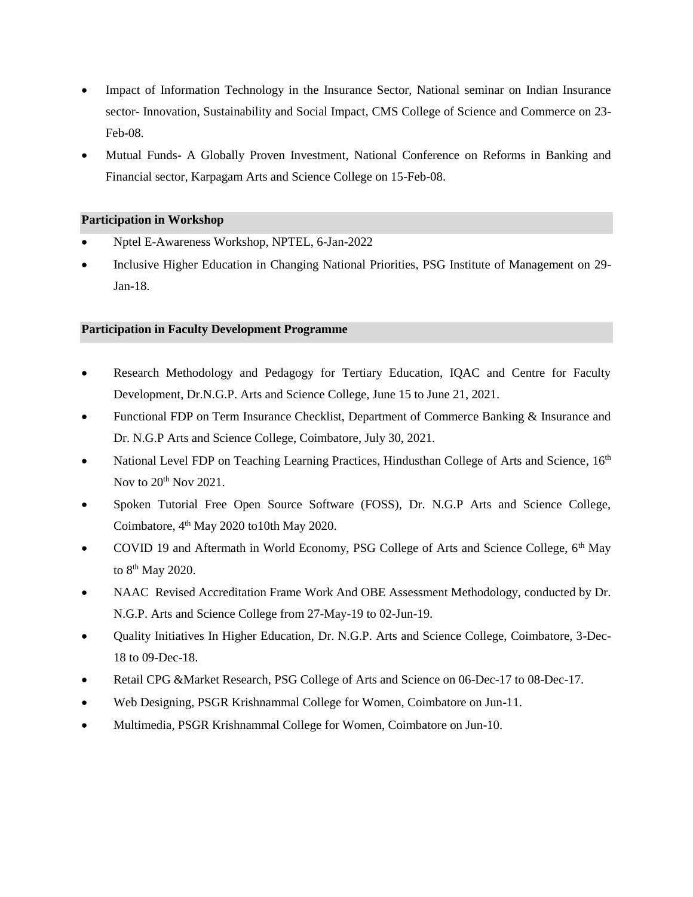- Impact of Information Technology in the Insurance Sector, National seminar on Indian Insurance sector- Innovation, Sustainability and Social Impact, CMS College of Science and Commerce on 23- Feb-08.
- Mutual Funds- A Globally Proven Investment, National Conference on Reforms in Banking and Financial sector, Karpagam Arts and Science College on 15-Feb-08.

#### **Participation in Workshop**

- Nptel E-Awareness Workshop, NPTEL, 6-Jan-2022
- Inclusive Higher Education in Changing National Priorities, PSG Institute of Management on 29- Jan-18.

#### **Participation in Faculty Development Programme**

- Research Methodology and Pedagogy for Tertiary Education, IQAC and Centre for Faculty Development, Dr.N.G.P. Arts and Science College, June 15 to June 21, 2021.
- Functional FDP on Term Insurance Checklist, Department of Commerce Banking & Insurance and Dr. N.G.P Arts and Science College, Coimbatore, July 30, 2021.
- National Level FDP on Teaching Learning Practices, Hindusthan College of Arts and Science, 16<sup>th</sup> Nov to  $20<sup>th</sup>$  Nov 2021.
- Spoken Tutorial Free Open Source Software (FOSS), Dr. N.G.P Arts and Science College, Coimbatore, 4<sup>th</sup> May 2020 to10th May 2020.
- COVID 19 and Aftermath in World Economy, PSG College of Arts and Science College, 6<sup>th</sup> May to  $8<sup>th</sup>$  May 2020.
- NAAC Revised Accreditation Frame Work And OBE Assessment Methodology, conducted by Dr. N.G.P. Arts and Science College from 27-May-19 to 02-Jun-19.
- Quality Initiatives In Higher Education, Dr. N.G.P. Arts and Science College, Coimbatore, 3-Dec-18 to 09-Dec-18.
- Retail CPG &Market Research, PSG College of Arts and Science on 06-Dec-17 to 08-Dec-17.
- Web Designing, PSGR Krishnammal College for Women, Coimbatore on Jun-11.
- Multimedia, PSGR Krishnammal College for Women, Coimbatore on Jun-10.